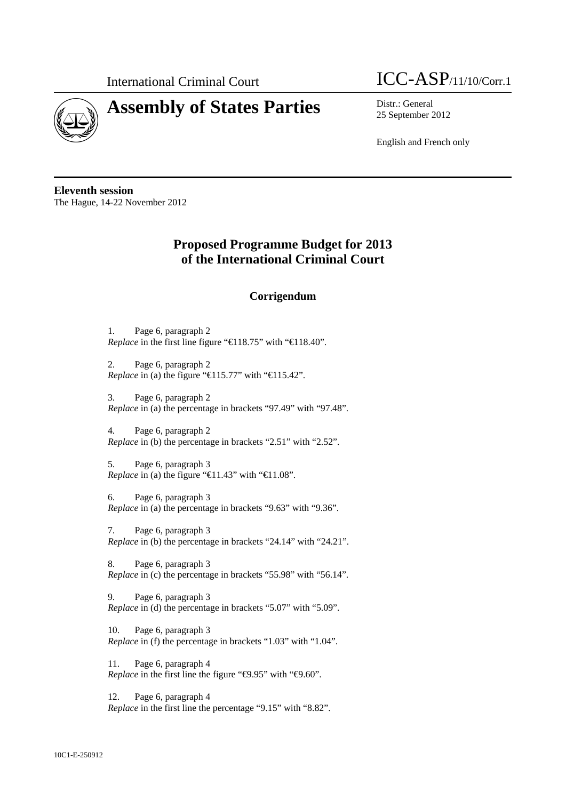

# **Assembly of States Parties** Distr.: General



25 September 2012

English and French only

**Eleventh session**  The Hague, 14-22 November 2012

# **Proposed Programme Budget for 2013 of the International Criminal Court**

# **Corrigendum**

1. Page 6, paragraph 2 *Replace* in the first line figure "€118.75" with "€118.40".

2. Page 6, paragraph 2 *Replace* in (a) the figure " $\bigoplus$ 15.77" with " $\bigoplus$ 15.42".

3. Page 6, paragraph 2 *Replace* in (a) the percentage in brackets "97.49" with "97.48".

4. Page 6, paragraph 2 *Replace* in (b) the percentage in brackets "2.51" with "2.52".

5. Page 6, paragraph 3 *Replace* in (a) the figure " $\bigoplus$  1.43" with " $\bigoplus$  1.08".

6. Page 6, paragraph 3 *Replace* in (a) the percentage in brackets "9.63" with "9.36".

7. Page 6, paragraph 3 *Replace* in (b) the percentage in brackets "24.14" with "24.21".

8. Page 6, paragraph 3 *Replace* in (c) the percentage in brackets "55.98" with "56.14".

9. Page 6, paragraph 3 *Replace* in (d) the percentage in brackets "5.07" with "5.09".

10. Page 6, paragraph 3 *Replace* in (f) the percentage in brackets "1.03" with "1.04".

11. Page 6, paragraph 4 *Replace* in the first line the figure " $\Theta$ .95" with " $\Theta$ .60".

12. Page 6, paragraph 4 *Replace* in the first line the percentage "9.15" with "8.82".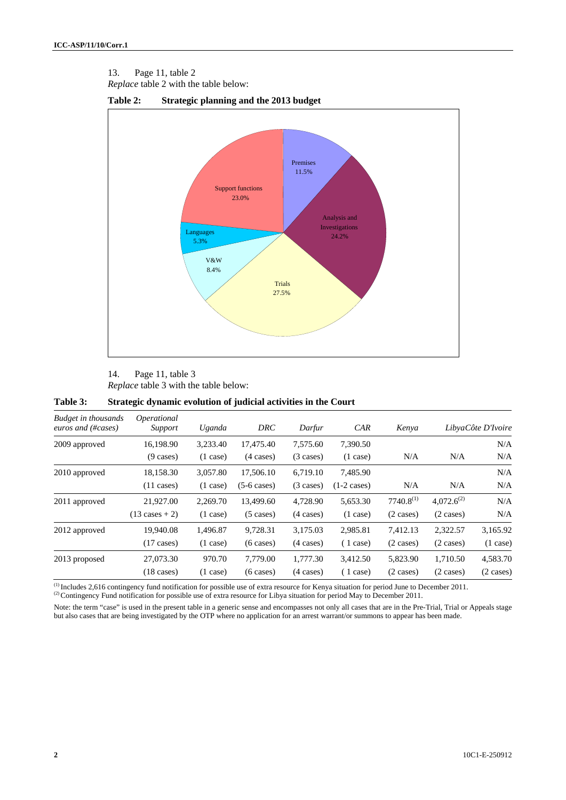13. Page 11, table 2 *Replace* table 2 with the table below:





14. Page 11, table 3 *Replace* table 3 with the table below:

| Budget in thousands<br>euros and (#cases) | <i>Operational</i><br>Support | Uganda             | DRC                   | Darfur              | CAR                   | Kenya               |                     | LibyaCôte D'Ivoire |
|-------------------------------------------|-------------------------------|--------------------|-----------------------|---------------------|-----------------------|---------------------|---------------------|--------------------|
| 2009 approved                             | 16,198.90                     | 3,233.40           | 17,475.40             | 7,575.60            | 7,390.50              |                     |                     | N/A                |
|                                           | $(9 \text{ cases})$           | $(1 \text{ case})$ | $(4 \text{ cases})$   | $(3 \text{ cases})$ | $(1 \text{ case})$    | N/A                 | N/A                 | N/A                |
| 2010 approved                             | 18,158.30                     | 3,057.80           | 17,506.10             | 6,719.10            | 7,485.90              |                     |                     | N/A                |
|                                           | $(11 \text{ cases})$          | (1 case)           | $(5-6 \text{ cases})$ | $(3 \text{ cases})$ | $(1-2 \text{ cases})$ | N/A                 | N/A                 | N/A                |
| 2011 approved                             | 21,927.00                     | 2,269.70           | 13,499.60             | 4,728.90            | 5,653.30              | $7740.8^{(1)}$      | $4,072.6^{(2)}$     | N/A                |
|                                           | $(13 \text{ cases} + 2)$      | (1 case)           | $(5 \cases)$          | $(4 \text{ cases})$ | $(1 \text{ case})$    | $(2 \text{ cases})$ | $(2 \cases)$        | N/A                |
| 2012 approved                             | 19,940.08                     | 1,496.87           | 9,728.31              | 3,175.03            | 2,985.81              | 7,412.13            | 2,322.57            | 3,165.92           |
|                                           | $(17 \text{ cases})$          | $(1 \text{ case})$ | $(6 \text{ cases})$   | $(4 \text{ cases})$ | (1 case)              | $(2 \text{ cases})$ | $(2 \text{ cases})$ | $(1 \text{ case})$ |
| 2013 proposed                             | 27,073.30                     | 970.70             | 7,779.00              | 1,777.30            | 3,412.50              | 5,823.90            | 1,710.50            | 4,583.70           |
|                                           | $(18 \text{ cases})$          | $(1 \text{ case})$ | $(6 \text{ cases})$   | $(4 \text{ cases})$ | (1 case)              | $(2 \cases)$        | $(2 \cases)$        | $(2 \cases)$       |

<sup>(1)</sup> Includes 2,616 contingency fund notification for possible use of extra resource for Kenya situation for period June to December 2011.<br><sup>(2)</sup> Contingency Fund notification for possible use of extra resource for Libya

Note: the term "case" is used in the present table in a generic sense and encompasses not only all cases that are in the Pre-Trial, Trial or Appeals stage but also cases that are being investigated by the OTP where no application for an arrest warrant/or summons to appear has been made.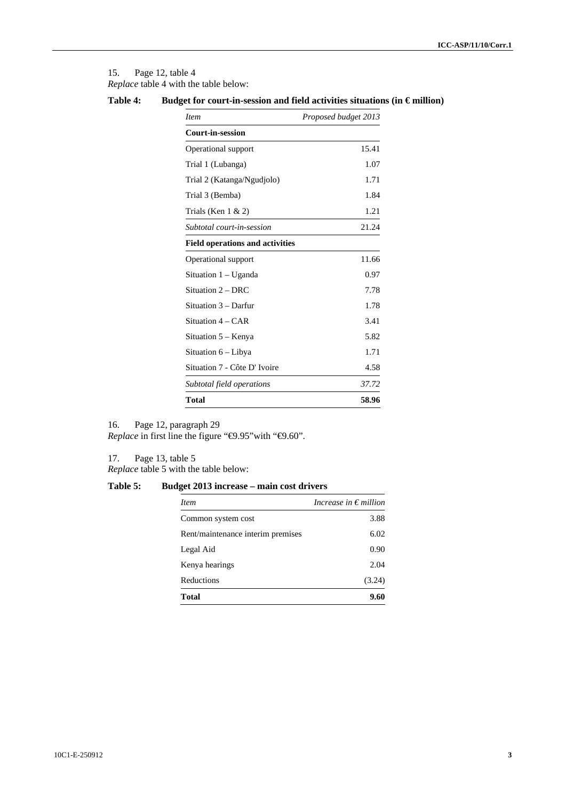15. Page 12, table 4 *Replace* table 4 with the table below:

| Table 4: | Budget for court-in-session and field activities situations (in $\epsilon$ million) |  |
|----------|-------------------------------------------------------------------------------------|--|
|          |                                                                                     |  |

| <i>Item</i>                            | Proposed budget 2013 |
|----------------------------------------|----------------------|
| <b>Court-in-session</b>                |                      |
| Operational support                    | 15.41                |
| Trial 1 (Lubanga)                      | 1.07                 |
| Trial 2 (Katanga/Ngudjolo)             | 1.71                 |
| Trial 3 (Bemba)                        | 1.84                 |
| Trials (Ken $1 \& 2$ )                 | 1.21                 |
| Subtotal court-in-session              | 21.24                |
| <b>Field operations and activities</b> |                      |
| Operational support                    | 11.66                |
| Situation 1 – Uganda                   | 0.97                 |
| Situation 2 – DRC                      | 7.78                 |
| Situation 3 – Darfur                   | 1.78                 |
| Situation 4 – CAR                      | 3.41                 |
| Situation 5 – Kenya                    | 5.82                 |
| Situation 6 – Libya                    | 1.71                 |
| Situation 7 - Côte D'Ivoire            | 4.58                 |
| Subtotal field operations              | 37.72                |
| Total                                  | 58.96                |

16. Page 12, paragraph 29

*Replace* in first line the figure "<sup>€9.95</sup>"with "€9.60".

17. Page 13, table 5 *Replace* table 5 with the table below:

### **Table 5: Budget 2013 increase – main cost drivers**

| <i>Item</i>                       | Increase in $\epsilon$ million |
|-----------------------------------|--------------------------------|
| Common system cost                | 3.88                           |
| Rent/maintenance interim premises | 6.02                           |
| Legal Aid                         | 0.90                           |
| Kenya hearings                    | 2.04                           |
| Reductions                        | (3.24)                         |
| Total                             | 9.60                           |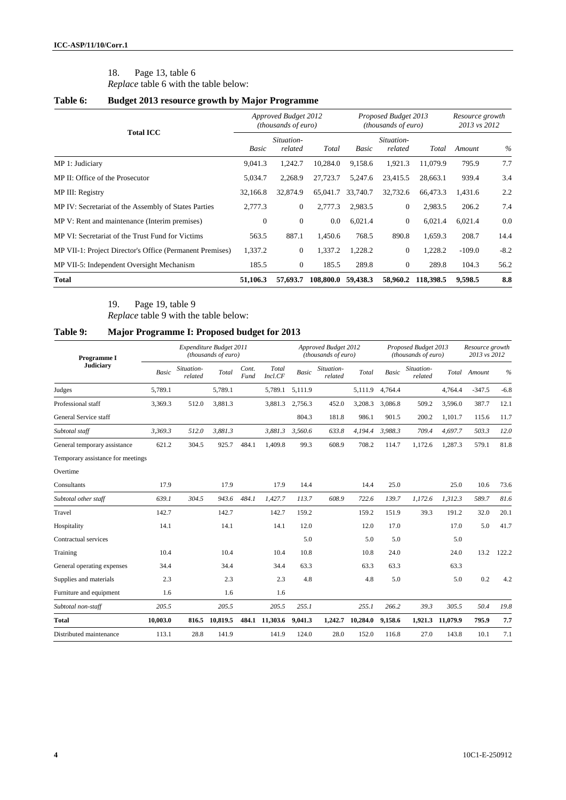# 18. Page 13, table 6

*Replace* table 6 with the table below:

## **Table 6: Budget 2013 resource growth by Major Programme**

|                                                          |                  | <b>Approved Budget 2012</b><br>(thousands of euro) |           |          | Proposed Budget 2013<br>(thousands of euro) | Resource growth<br>2013 vs 2012 |          |        |
|----------------------------------------------------------|------------------|----------------------------------------------------|-----------|----------|---------------------------------------------|---------------------------------|----------|--------|
| <b>Total ICC</b>                                         | Basic            | Situation-<br>related                              | Total     | Basic    | Situation-<br>related                       | Total                           | Amount   | $\%$   |
| MP 1: Judiciary                                          | 9,041.3          | 1,242.7                                            | 10,284.0  | 9,158.6  | 1,921.3                                     | 11.079.9                        | 795.9    | 7.7    |
| MP II: Office of the Prosecutor                          | 5,034.7          | 2,268.9                                            | 27,723.7  | 5,247.6  | 23.415.5                                    | 28,663.1                        | 939.4    | 3.4    |
| MP III: Registry                                         | 32,166.8         | 32,874.9                                           | 65,041.7  | 33,740.7 | 32,732.6                                    | 66,473.3                        | 1,431.6  | 2.2    |
| MP IV: Secretariat of the Assembly of States Parties     | 2,777.3          | $\overline{0}$                                     | 2,777.3   | 2,983.5  | $\mathbf{0}$                                | 2,983.5                         | 206.2    | 7.4    |
| MP V: Rent and maintenance (Interim premises)            | $\boldsymbol{0}$ | $\mathbf{0}$                                       | 0.0       | 6,021.4  | $\overline{0}$                              | 6,021.4                         | 6,021.4  | 0.0    |
| MP VI: Secretariat of the Trust Fund for Victims         | 563.5            | 887.1                                              | 1,450.6   | 768.5    | 890.8                                       | 1,659.3                         | 208.7    | 14.4   |
| MP VII-1: Project Director's Office (Permanent Premises) | 1,337.2          | $\boldsymbol{0}$                                   | 1,337.2   | 1,228.2  | $\boldsymbol{0}$                            | 1,228.2                         | $-109.0$ | $-8.2$ |
| MP VII-5: Independent Oversight Mechanism                | 185.5            | $\boldsymbol{0}$                                   | 185.5     | 289.8    | $\mathbf{0}$                                | 289.8                           | 104.3    | 56.2   |
| <b>Total</b>                                             | 51,106.3         | 57,693.7                                           | 108,800.0 | 59,438.3 | 58,960.2                                    | 118,398.5                       | 9.598.5  | 8.8    |

19. Page 19, table 9 *Replace* table 9 with the table below:

## **Table 9: Major Programme I: Proposed budget for 2013**

| Programme I                       |              |                       | Expenditure Budget 2011<br>(thousands of euro) |               |                  | Approved Budget 2012<br>(thousands of euro) |                       |          |              | Proposed Budget 2013<br>(thousands of euro) | Resource growth<br>2013 vs 2012 |              |               |
|-----------------------------------|--------------|-----------------------|------------------------------------------------|---------------|------------------|---------------------------------------------|-----------------------|----------|--------------|---------------------------------------------|---------------------------------|--------------|---------------|
| <b>Judiciary</b>                  | <b>Basic</b> | Situation-<br>related | Total                                          | Cont.<br>Fund | Total<br>Incl.CF | <b>Basic</b>                                | Situation-<br>related | Total    | <b>Basic</b> | Situation-<br>related                       |                                 | Total Amount | $\frac{0}{0}$ |
| Judges                            | 5,789.1      |                       | 5,789.1                                        |               | 5,789.1          | 5,111.9                                     |                       | 5,111.9  | 4.764.4      |                                             | 4.764.4                         | $-347.5$     | $-6.8$        |
| Professional staff                | 3,369.3      | 512.0                 | 3.881.3                                        |               | 3,881.3          | 2.756.3                                     | 452.0                 | 3,208.3  | 3.086.8      | 509.2                                       | 3,596.0                         | 387.7        | 12.1          |
| General Service staff             |              |                       |                                                |               |                  | 804.3                                       | 181.8                 | 986.1    | 901.5        | 200.2                                       | 1,101.7                         | 115.6        | 11.7          |
| Subtotal staff                    | 3.369.3      | 512.0                 | 3.881.3                                        |               | 3.881.3          | 3.560.6                                     | 633.8                 | 4.194.4  | 3.988.3      | 709.4                                       | 4.697.7                         | 503.3        | 12.0          |
| General temporary assistance      | 621.2        | 304.5                 | 925.7                                          | 484.1         | 1,409.8          | 99.3                                        | 608.9                 | 708.2    | 114.7        | 1,172.6                                     | 1,287.3                         | 579.1        | 81.8          |
| Temporary assistance for meetings |              |                       |                                                |               |                  |                                             |                       |          |              |                                             |                                 |              |               |
| Overtime                          |              |                       |                                                |               |                  |                                             |                       |          |              |                                             |                                 |              |               |
| Consultants                       | 17.9         |                       | 17.9                                           |               | 17.9             | 14.4                                        |                       | 14.4     | 25.0         |                                             | 25.0                            | 10.6         | 73.6          |
| Subtotal other staff              | 639.1        | 304.5                 | 943.6                                          | 484.1         | 1.427.7          | 113.7                                       | 608.9                 | 722.6    | 139.7        | 1.172.6                                     | 1.312.3                         | 589.7        | 81.6          |
| Travel                            | 142.7        |                       | 142.7                                          |               | 142.7            | 159.2                                       |                       | 159.2    | 151.9        | 39.3                                        | 191.2                           | 32.0         | 20.1          |
| Hospitality                       | 14.1         |                       | 14.1                                           |               | 14.1             | 12.0                                        |                       | 12.0     | 17.0         |                                             | 17.0                            | 5.0          | 41.7          |
| Contractual services              |              |                       |                                                |               |                  | 5.0                                         |                       | 5.0      | 5.0          |                                             | 5.0                             |              |               |
| Training                          | 10.4         |                       | 10.4                                           |               | 10.4             | 10.8                                        |                       | 10.8     | 24.0         |                                             | 24.0                            | 13.2         | 122.2         |
| General operating expenses        | 34.4         |                       | 34.4                                           |               | 34.4             | 63.3                                        |                       | 63.3     | 63.3         |                                             | 63.3                            |              |               |
| Supplies and materials            | 2.3          |                       | 2.3                                            |               | 2.3              | 4.8                                         |                       | 4.8      | 5.0          |                                             | 5.0                             | 0.2          | 4.2           |
| Furniture and equipment           | 1.6          |                       | 1.6                                            |               | 1.6              |                                             |                       |          |              |                                             |                                 |              |               |
| Subtotal non-staff                | 205.5        |                       | 205.5                                          |               | 205.5            | 255.1                                       |                       | 255.1    | 266.2        | 39.3                                        | 305.5                           | 50.4         | 19.8          |
| <b>Total</b>                      | 10,003.0     | 816.5                 | 10,819.5                                       | 484.1         | 11,303.6         | 9,041.3                                     | 1,242.7               | 10,284.0 | 9,158.6      | 1,921.3                                     | 11,079.9                        | 795.9        | 7.7           |
| Distributed maintenance           | 113.1        | 28.8                  | 141.9                                          |               | 141.9            | 124.0                                       | 28.0                  | 152.0    | 116.8        | 27.0                                        | 143.8                           | 10.1         | 7.1           |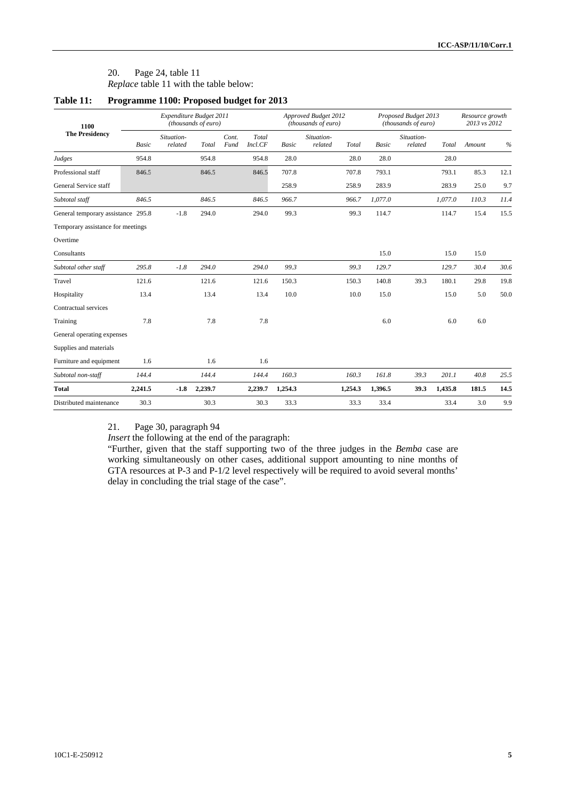# 20. Page 24, table 11

*Replace* table 11 with the table below:

| 1100                               |         | Expenditure Budget 2011 | (thousands of euro) |               |                  |         | Approved Budget 2012<br>(thousands of euro) |         |              | Proposed Budget 2013<br>(thousands of euro) | Resource growth<br>2013 vs 2012 |        |               |
|------------------------------------|---------|-------------------------|---------------------|---------------|------------------|---------|---------------------------------------------|---------|--------------|---------------------------------------------|---------------------------------|--------|---------------|
| <b>The Presidency</b>              | Basic   | Situation-<br>related   | Total               | Cont.<br>Fund | Total<br>Incl.CF | Basic   | Situation-<br>related                       | Total   | <b>Basic</b> | Situation-<br>related                       | Total                           | Amount | $\frac{0}{0}$ |
| Judges                             | 954.8   |                         | 954.8               |               | 954.8            | 28.0    |                                             | 28.0    | 28.0         |                                             | 28.0                            |        |               |
| Professional staff                 | 846.5   |                         | 846.5               |               | 846.5            | 707.8   |                                             | 707.8   | 793.1        |                                             | 793.1                           | 85.3   | 12.1          |
| General Service staff              |         |                         |                     |               |                  | 258.9   |                                             | 258.9   | 283.9        |                                             | 283.9                           | 25.0   | 9.7           |
| Subtotal staff                     | 846.5   |                         | 846.5               |               | 846.5            | 966.7   |                                             | 966.7   | 1,077.0      |                                             | 1.077.0                         | 110.3  | 11.4          |
| General temporary assistance 295.8 |         | $-1.8$                  | 294.0               |               | 294.0            | 99.3    |                                             | 99.3    | 114.7        |                                             | 114.7                           | 15.4   | 15.5          |
| Temporary assistance for meetings  |         |                         |                     |               |                  |         |                                             |         |              |                                             |                                 |        |               |
| Overtime                           |         |                         |                     |               |                  |         |                                             |         |              |                                             |                                 |        |               |
| Consultants                        |         |                         |                     |               |                  |         |                                             |         | 15.0         |                                             | 15.0                            | 15.0   |               |
| Subtotal other staff               | 295.8   | $-1.8$                  | 294.0               |               | 294.0            | 99.3    |                                             | 99.3    | 129.7        |                                             | 129.7                           | 30.4   | 30.6          |
| Travel                             | 121.6   |                         | 121.6               |               | 121.6            | 150.3   |                                             | 150.3   | 140.8        | 39.3                                        | 180.1                           | 29.8   | 19.8          |
| Hospitality                        | 13.4    |                         | 13.4                |               | 13.4             | 10.0    |                                             | 10.0    | 15.0         |                                             | 15.0                            | 5.0    | 50.0          |
| Contractual services               |         |                         |                     |               |                  |         |                                             |         |              |                                             |                                 |        |               |
| Training                           | 7.8     |                         | 7.8                 |               | 7.8              |         |                                             |         | 6.0          |                                             | 6.0                             | 6.0    |               |
| General operating expenses         |         |                         |                     |               |                  |         |                                             |         |              |                                             |                                 |        |               |
| Supplies and materials             |         |                         |                     |               |                  |         |                                             |         |              |                                             |                                 |        |               |
| Furniture and equipment            | 1.6     |                         | 1.6                 |               | 1.6              |         |                                             |         |              |                                             |                                 |        |               |
| Subtotal non-staff                 | 144.4   |                         | 144.4               |               | 144.4            | 160.3   |                                             | 160.3   | 161.8        | 39.3                                        | 201.1                           | 40.8   | 25.5          |
| <b>Total</b>                       | 2,241.5 | $-1.8$                  | 2,239.7             |               | 2,239.7          | 1,254.3 |                                             | 1,254.3 | 1,396.5      | 39.3                                        | 1,435.8                         | 181.5  | 14.5          |
| Distributed maintenance            | 30.3    |                         | 30.3                |               | 30.3             | 33.3    |                                             | 33.3    | 33.4         |                                             | 33.4                            | 3.0    | 9.9           |

## **Table 11: Programme 1100: Proposed budget for 2013**

21. Page 30, paragraph 94

*Insert* the following at the end of the paragraph:

"Further, given that the staff supporting two of the three judges in the *Bemba* case are working simultaneously on other cases, additional support amounting to nine months of GTA resources at P-3 and P-1/2 level respectively will be required to avoid several months' delay in concluding the trial stage of the case".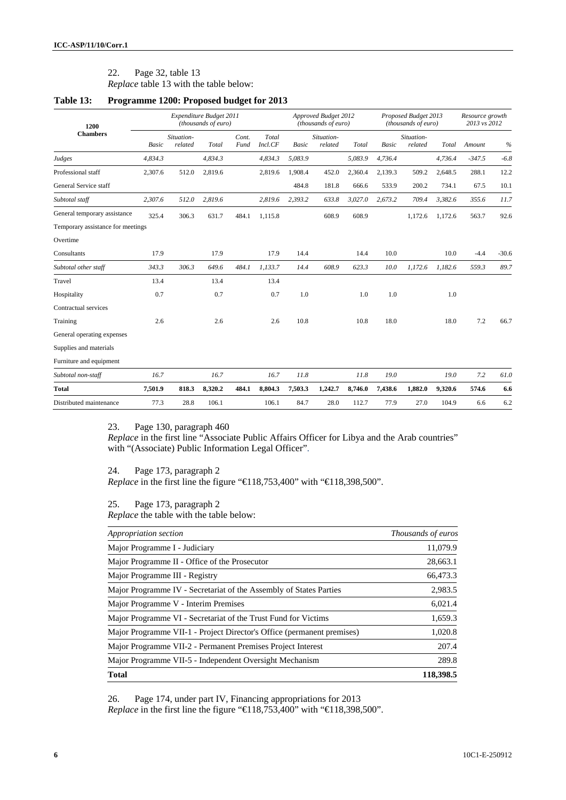### 22. Page 32, table 13

*Replace* table 13 with the table below:

#### **Table 13: Programme 1200: Proposed budget for 2013**

| 1200                              | Expenditure Budget 2011<br>(thousands of euro) |                       |         |               |                  |              | Approved Budget 2012<br>(thousands of euro) |         |              | Proposed Budget 2013<br>(thousands of euro) | Resource growth<br>2013 vs 2012 |          |         |
|-----------------------------------|------------------------------------------------|-----------------------|---------|---------------|------------------|--------------|---------------------------------------------|---------|--------------|---------------------------------------------|---------------------------------|----------|---------|
| <b>Chambers</b>                   | <b>Basic</b>                                   | Situation-<br>related | Total   | Cont.<br>Fund | Total<br>Incl.CF | <b>Basic</b> | Situation-<br>related                       | Total   | <b>Basic</b> | Situation-<br>related                       | Total                           | Amount   | $\%$    |
| Judges                            | 4,834.3                                        |                       | 4,834.3 |               | 4,834.3          | 5,083.9      |                                             | 5,083.9 | 4,736.4      |                                             | 4,736.4                         | $-347.5$ | $-6.8$  |
| Professional staff                | 2,307.6                                        | 512.0                 | 2,819.6 |               | 2,819.6          | 1,908.4      | 452.0                                       | 2,360.4 | 2,139.3      | 509.2                                       | 2,648.5                         | 288.1    | 12.2    |
| General Service staff             |                                                |                       |         |               |                  | 484.8        | 181.8                                       | 666.6   | 533.9        | 200.2                                       | 734.1                           | 67.5     | 10.1    |
| Subtotal staff                    | 2,307.6                                        | 512.0                 | 2,819.6 |               | 2,819.6          | 2,393.2      | 633.8                                       | 3,027.0 | 2,673.2      | 709.4                                       | 3,382.6                         | 355.6    | 11.7    |
| General temporary assistance      | 325.4                                          | 306.3                 | 631.7   | 484.1         | 1,115.8          |              | 608.9                                       | 608.9   |              | 1,172.6                                     | 1.172.6                         | 563.7    | 92.6    |
| Temporary assistance for meetings |                                                |                       |         |               |                  |              |                                             |         |              |                                             |                                 |          |         |
| Overtime                          |                                                |                       |         |               |                  |              |                                             |         |              |                                             |                                 |          |         |
| Consultants                       | 17.9                                           |                       | 17.9    |               | 17.9             | 14.4         |                                             | 14.4    | 10.0         |                                             | 10.0                            | $-4.4$   | $-30.6$ |
| Subtotal other staff              | 343.3                                          | 306.3                 | 649.6   | 484.1         | 1.133.7          | 14.4         | 608.9                                       | 623.3   | 10.0         | 1,172.6                                     | 1.182.6                         | 559.3    | 89.7    |
| Travel                            | 13.4                                           |                       | 13.4    |               | 13.4             |              |                                             |         |              |                                             |                                 |          |         |
| Hospitality                       | 0.7                                            |                       | 0.7     |               | 0.7              | 1.0          |                                             | 1.0     | 1.0          |                                             | 1.0                             |          |         |
| Contractual services              |                                                |                       |         |               |                  |              |                                             |         |              |                                             |                                 |          |         |
| Training                          | 2.6                                            |                       | 2.6     |               | 2.6              | 10.8         |                                             | 10.8    | 18.0         |                                             | 18.0                            | 7.2      | 66.7    |
| General operating expenses        |                                                |                       |         |               |                  |              |                                             |         |              |                                             |                                 |          |         |
| Supplies and materials            |                                                |                       |         |               |                  |              |                                             |         |              |                                             |                                 |          |         |
| Furniture and equipment           |                                                |                       |         |               |                  |              |                                             |         |              |                                             |                                 |          |         |
| Subtotal non-staff                | 16.7                                           |                       | 16.7    |               | 16.7             | 11.8         |                                             | 11.8    | 19.0         |                                             | 19.0                            | 7.2      | 61.0    |
| <b>Total</b>                      | 7,501.9                                        | 818.3                 | 8,320.2 | 484.1         | 8,804.3          | 7,503.3      | 1,242.7                                     | 8,746.0 | 7,438.6      | 1,882.0                                     | 9,320.6                         | 574.6    | 6.6     |
| Distributed maintenance           | 77.3                                           | 28.8                  | 106.1   |               | 106.1            | 84.7         | 28.0                                        | 112.7   | 77.9         | 27.0                                        | 104.9                           | 6.6      | 6.2     |

23. Page 130, paragraph 460

*Replace* in the first line "Associate Public Affairs Officer for Libya and the Arab countries" with "(Associate) Public Information Legal Officer".

24. Page 173, paragraph 2

*Replace* in the first line the figure "€118,753,400" with "€118,398,500".

25. Page 173, paragraph 2

*Replace* the table with the table below:

| Appropriation section                                                  | <i>Thousands of euros</i> |
|------------------------------------------------------------------------|---------------------------|
| Major Programme I - Judiciary                                          | 11,079.9                  |
| Major Programme II - Office of the Prosecutor                          | 28,663.1                  |
| Major Programme III - Registry                                         | 66,473.3                  |
| Major Programme IV - Secretariat of the Assembly of States Parties     | 2,983.5                   |
| Major Programme V - Interim Premises                                   | 6,021.4                   |
| Major Programme VI - Secretariat of the Trust Fund for Victims         | 1,659.3                   |
| Major Programme VII-1 - Project Director's Office (permanent premises) | 1,020.8                   |
| Major Programme VII-2 - Permanent Premises Project Interest            | 207.4                     |
| Major Programme VII-5 - Independent Oversight Mechanism                | 289.8                     |
| <b>Total</b>                                                           | 118.398.5                 |

26. Page 174, under part IV, Financing appropriations for 2013 *Replace* in the first line the figure "€118,753,400" with "€118,398,500".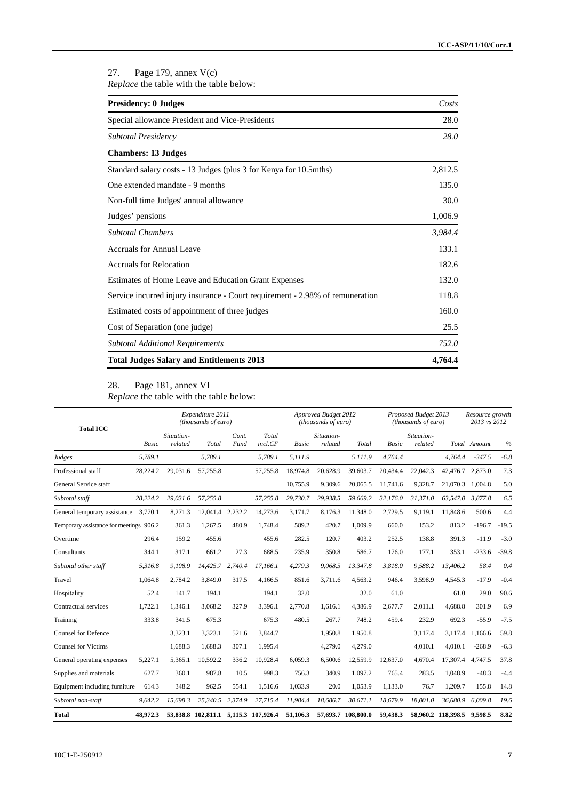27. Page 179, annex V(c) *Replace* the table with the table below:

| <b>Presidency: 0 Judges</b>                                                   | Costs   |
|-------------------------------------------------------------------------------|---------|
| Special allowance President and Vice-Presidents                               | 28.0    |
| Subtotal Presidency                                                           | 28.0    |
| <b>Chambers: 13 Judges</b>                                                    |         |
| Standard salary costs - 13 Judges (plus 3 for Kenya for 10.5mths)             | 2,812.5 |
| One extended mandate - 9 months                                               | 135.0   |
| Non-full time Judges' annual allowance                                        | 30.0    |
| Judges' pensions                                                              | 1,006.9 |
| <b>Subtotal Chambers</b>                                                      | 3,984.4 |
| <b>Accruals for Annual Leave</b>                                              | 133.1   |
| <b>Accruals for Relocation</b>                                                | 182.6   |
| Estimates of Home Leave and Education Grant Expenses                          | 132.0   |
| Service incurred injury insurance - Court requirement - 2.98% of remuneration | 118.8   |
| Estimated costs of appointment of three judges                                | 160.0   |
| Cost of Separation (one judge)                                                | 25.5    |
| <b>Subtotal Additional Requirements</b>                                       | 752.0   |
| <b>Total Judges Salary and Entitlements 2013</b>                              | 4,764.4 |

#### 28. Page 181, annex VI *Replace* the table with the table below:

| <b>Total ICC</b>                        | Expenditure 2011<br>(thousands of euro) |                       |                                      |               |                  |              | Approved Budget 2012<br>(thousands of euro) |                    |              | Proposed Budget 2013<br>(thousands of euro) | Resource growth<br>2013 vs 2012 |              |               |
|-----------------------------------------|-----------------------------------------|-----------------------|--------------------------------------|---------------|------------------|--------------|---------------------------------------------|--------------------|--------------|---------------------------------------------|---------------------------------|--------------|---------------|
|                                         | <b>Basic</b>                            | Situation-<br>related | Total                                | Cont.<br>Fund | Total<br>incl.CF | <b>Basic</b> | Situation-<br>related                       | Total              | <b>Basic</b> | Situation-<br>related                       |                                 | Total Amount | $\frac{0}{0}$ |
| Judges                                  | 5,789.1                                 |                       | 5,789.1                              |               | 5,789.1          | 5.111.9      |                                             | 5.111.9            | 4,764.4      |                                             | 4.764.4                         | $-347.5$     | $-6.8$        |
| Professional staff                      | 28,224.2                                | 29,031.6              | 57,255.8                             |               | 57,255.8         | 18,974.8     | 20,628.9                                    | 39,603.7           | 20,434.4     | 22,042.3                                    | 42,476.7 2,873.0                |              | 7.3           |
| General Service staff                   |                                         |                       |                                      |               |                  | 10.755.9     | 9,309.6                                     | 20,065.5           | 11,741.6     | 9,328.7                                     | 21,070.3                        | 1.004.8      | 5.0           |
| Subtotal staff                          | 28,224.2                                | 29,031.6              | 57,255.8                             |               | 57,255.8         | 29,730.7     | 29,938.5                                    | 59,669.2           | 32,176.0     | 31,371.0                                    | 63,547.0                        | 3,877.8      | 6.5           |
| General temporary assistance            | 3.770.1                                 | 8,271.3               | 12,041.4                             | 2,232.2       | 14,273.6         | 3,171.7      | 8,176.3                                     | 11,348.0           | 2,729.5      | 9,119.1                                     | 11,848.6                        | 500.6        | 4.4           |
| Temporary assistance for meetings 906.2 |                                         | 361.3                 | 1,267.5                              | 480.9         | 1,748.4          | 589.2        | 420.7                                       | 1,009.9            | 660.0        | 153.2                                       | 813.2                           | $-196.7$     | $-19.5$       |
| Overtime                                | 296.4                                   | 159.2                 | 455.6                                |               | 455.6            | 282.5        | 120.7                                       | 403.2              | 252.5        | 138.8                                       | 391.3                           | $-11.9$      | $-3.0$        |
| Consultants                             | 344.1                                   | 317.1                 | 661.2                                | 27.3          | 688.5            | 235.9        | 350.8                                       | 586.7              | 176.0        | 177.1                                       | 353.1                           | $-233.6$     | $-39.8$       |
| Subtotal other staff                    | 5,316.8                                 | 9,108.9               | 14,425.7                             | 2,740.4       | 17,166.1         | 4,279.3      | 9,068.5                                     | 13,347.8           | 3,818.0      | 9,588.2                                     | 13,406.2                        | 58.4         | 0.4           |
| Travel                                  | 1,064.8                                 | 2,784.2               | 3,849.0                              | 317.5         | 4,166.5          | 851.6        | 3,711.6                                     | 4,563.2            | 946.4        | 3,598.9                                     | 4,545.3                         | $-17.9$      | $-0.4$        |
| Hospitality                             | 52.4                                    | 141.7                 | 194.1                                |               | 194.1            | 32.0         |                                             | 32.0               | 61.0         |                                             | 61.0                            | 29.0         | 90.6          |
| Contractual services                    | 1,722.1                                 | 1,346.1               | 3,068.2                              | 327.9         | 3,396.1          | 2,770.8      | 1,616.1                                     | 4,386.9            | 2,677.7      | 2,011.1                                     | 4,688.8                         | 301.9        | 6.9           |
| Training                                | 333.8                                   | 341.5                 | 675.3                                |               | 675.3            | 480.5        | 267.7                                       | 748.2              | 459.4        | 232.9                                       | 692.3                           | $-55.9$      | $-7.5$        |
| <b>Counsel for Defence</b>              |                                         | 3,323.1               | 3.323.1                              | 521.6         | 3,844.7          |              | 1,950.8                                     | 1.950.8            |              | 3.117.4                                     | 3.117.4                         | 1,166.6      | 59.8          |
| <b>Counsel for Victims</b>              |                                         | 1,688.3               | 1,688.3                              | 307.1         | 1,995.4          |              | 4,279.0                                     | 4,279.0            |              | 4,010.1                                     | 4.010.1                         | $-268.9$     | $-6.3$        |
| General operating expenses              | 5,227.1                                 | 5.365.1               | 10.592.2                             | 336.2         | 10.928.4         | 6.059.3      | 6,500.6                                     | 12,559.9           | 12,637.0     | 4,670.4                                     | 17,307.4                        | 4,747.5      | 37.8          |
| Supplies and materials                  | 627.7                                   | 360.1                 | 987.8                                | 10.5          | 998.3            | 756.3        | 340.9                                       | 1,097.2            | 765.4        | 283.5                                       | 1,048.9                         | $-48.3$      | $-4.4$        |
| Equipment including furniture           | 614.3                                   | 348.2                 | 962.5                                | 554.1         | 1,516.6          | 1,033.9      | 20.0                                        | 1,053.9            | 1,133.0      | 76.7                                        | 1,209.7                         | 155.8        | 14.8          |
| Subtotal non-staff                      | 9,642.2                                 | 15.698.3              | 25,340.5                             | 2,374.9       | 27,715.4         | 11.984.4     | 18,686.7                                    | 30.671.1           | 18,679.9     | 18,001.0                                    | 36,680.9                        | 6,009.8      | 19.6          |
| <b>Total</b>                            | 48.972.3                                |                       | 53,838.8 102,811.1 5.115.3 107.926.4 |               |                  | 51,106.3     |                                             | 57,693.7 108,800.0 | 59.438.3     |                                             | 58.960.2 118.398.5              | 9.598.5      | 8.82          |